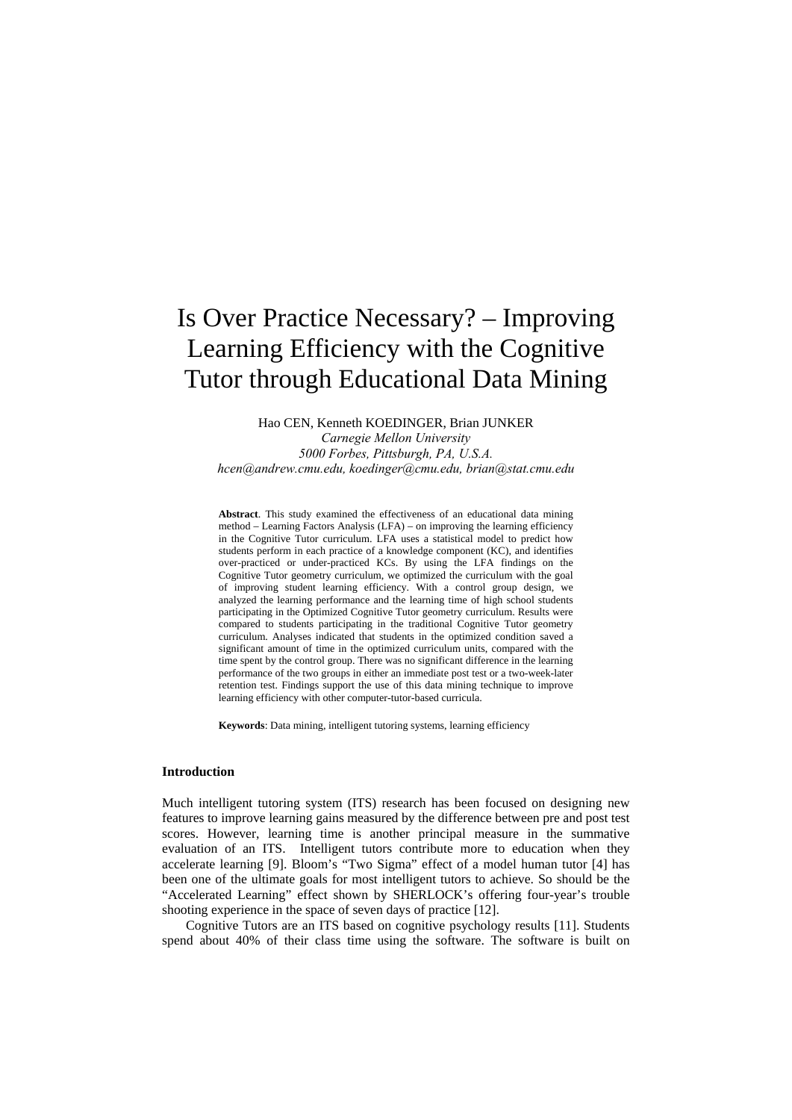# Is Over Practice Necessary? – Improving Learning Efficiency with the Cognitive Tutor through Educational Data Mining

# Hao CEN, Kenneth KOEDINGER, Brian JUNKER *Carnegie Mellon University 5000 Forbes, Pittsburgh, PA, U.S.A.*

*hcen@andrew.cmu.edu, koedinger@cmu.edu, brian@stat.cmu.edu* 

**Abstract**. This study examined the effectiveness of an educational data mining method – Learning Factors Analysis (LFA) – on improving the learning efficiency in the Cognitive Tutor curriculum. LFA uses a statistical model to predict how students perform in each practice of a knowledge component (KC), and identifies over-practiced or under-practiced KCs. By using the LFA findings on the Cognitive Tutor geometry curriculum, we optimized the curriculum with the goal of improving student learning efficiency. With a control group design, we analyzed the learning performance and the learning time of high school students participating in the Optimized Cognitive Tutor geometry curriculum. Results were compared to students participating in the traditional Cognitive Tutor geometry curriculum. Analyses indicated that students in the optimized condition saved a significant amount of time in the optimized curriculum units, compared with the time spent by the control group. There was no significant difference in the learning performance of the two groups in either an immediate post test or a two-week-later retention test. Findings support the use of this data mining technique to improve learning efficiency with other computer-tutor-based curricula.

**Keywords**: Data mining, intelligent tutoring systems, learning efficiency

### **Introduction**

Much intelligent tutoring system (ITS) research has been focused on designing new features to improve learning gains measured by the difference between pre and post test scores. However, learning time is another principal measure in the summative evaluation of an ITS. Intelligent tutors contribute more to education when they accelerate learning [9]. Bloom's "Two Sigma" effect of a model human tutor [4] has been one of the ultimate goals for most intelligent tutors to achieve. So should be the "Accelerated Learning" effect shown by SHERLOCK's offering four-year's trouble shooting experience in the space of seven days of practice [12].

Cognitive Tutors are an ITS based on cognitive psychology results [11]. Students spend about 40% of their class time using the software. The software is built on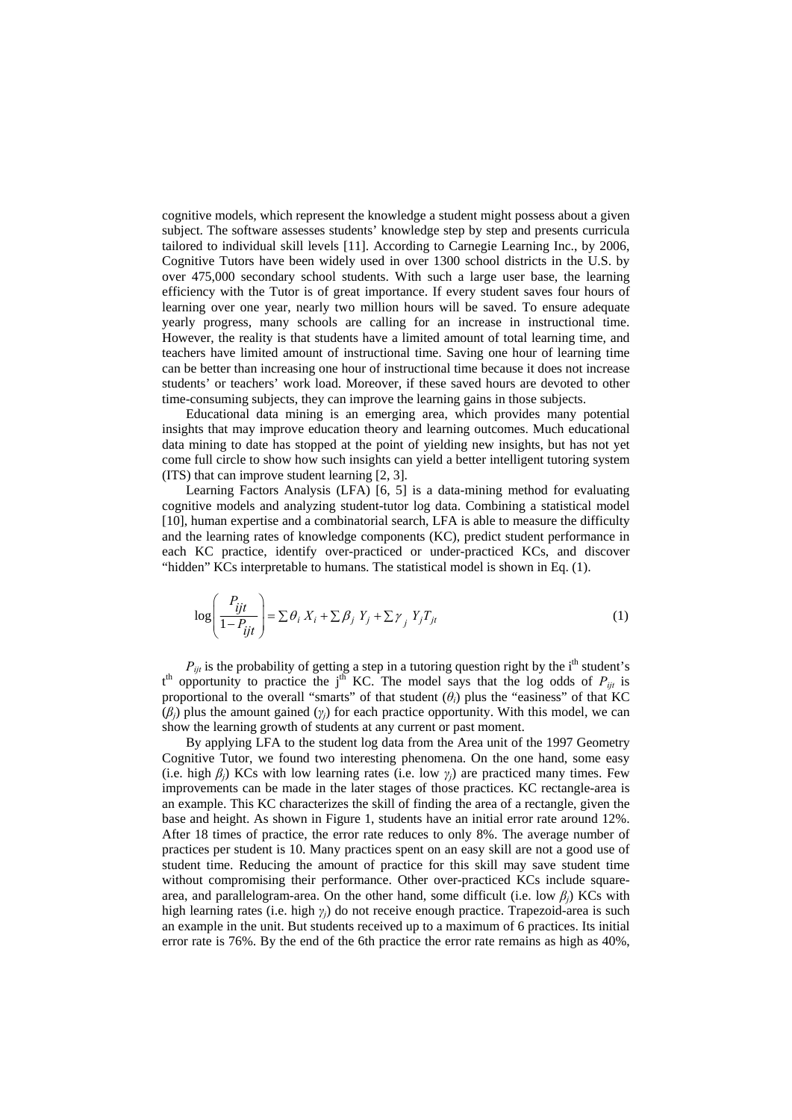[cognitive models,](http://www.carnegielearning.com/approach_research.cfm) which represent the knowledge a student might possess about a given subject. The software assesses students' knowledge step by step and presents [curricula](http://www.carnegielearning.com/math-curricula.cfm) tailored to individual skill levels [11]. According to Carnegie Learning Inc., by 2006, Cognitive Tutors have been widely used in over 1300 school districts in the U.S. by over 475,000 secondary school students. With such a large user base, the learning efficiency with the Tutor is of great importance. If every student saves four hours of learning over one year, nearly two million hours will be saved. To ensure adequate yearly progress, many schools are calling for an increase in instructional time. However, the reality is that students have a limited amount of total learning time, and teachers have limited amount of instructional time. Saving one hour of learning time can be better than increasing one hour of instructional time because it does not increase students' or teachers' work load. Moreover, if these saved hours are devoted to other time-consuming subjects, they can improve the learning gains in those subjects.

Educational data mining is an emerging area, which provides many potential insights that may improve education theory and learning outcomes. Much educational data mining to date has stopped at the point of yielding new insights, but has not yet come full circle to show how such insights can yield a better intelligent tutoring system (ITS) that can improve student learning [2, 3].

Learning Factors Analysis (LFA) [6, 5] is a data-mining method for evaluating cognitive models and analyzing student-tutor log data. Combining a statistical model [10], human expertise and a combinatorial search, LFA is able to measure the difficulty and the learning rates of knowledge components (KC), predict student performance in each KC practice, identify over-practiced or under-practiced KCs, and discover "hidden" KCs interpretable to humans. The statistical model is shown in Eq. (1).

$$
\log\left(\frac{P_{ijt}}{1-P_{ijt}}\right) = \sum \theta_i X_i + \sum \beta_j Y_j + \sum \gamma_j Y_j T_{jt}
$$
\n(1)

 $P_{ijt}$  is the probability of getting a step in a tutoring question right by the i<sup>th</sup> student's  $t<sup>th</sup>$  opportunity to practice the j<sup>th</sup> KC. The model says that the log odds of  $P_{ijt}$  is proportional to the overall "smarts" of that student  $(\theta_i)$  plus the "easiness" of that KC (*βj*) plus the amount gained (*γj*) for each practice opportunity. With this model, we can show the learning growth of students at any current or past moment.

By applying LFA to the student log data from the Area unit of the 1997 Geometry Cognitive Tutor, we found two interesting phenomena. On the one hand, some easy (i.e. high  $\beta$ *j*) KCs with low learning rates (i.e. low  $\gamma$ *j*) are practiced many times. Few improvements can be made in the later stages of those practices. KC rectangle-area is an example. This KC characterizes the skill of finding the area of a rectangle, given the base and height. As shown in [Figure 1](#page-2-0), students have an initial error rate around 12%. After 18 times of practice, the error rate reduces to only 8%. The average number of practices per student is 10. Many practices spent on an easy skill are not a good use of student time. Reducing the amount of practice for this skill may save student time without compromising their performance. Other over-practiced KCs include squarearea, and parallelogram-area. On the other hand, some difficult (i.e. low  $\beta_i$ ) KCs with high learning rates (i.e. high *γj*) do not receive enough practice. Trapezoid-area is such an example in the unit. But students received up to a maximum of 6 practices. Its initial error rate is 76%. By the end of the 6th practice the error rate remains as high as 40%,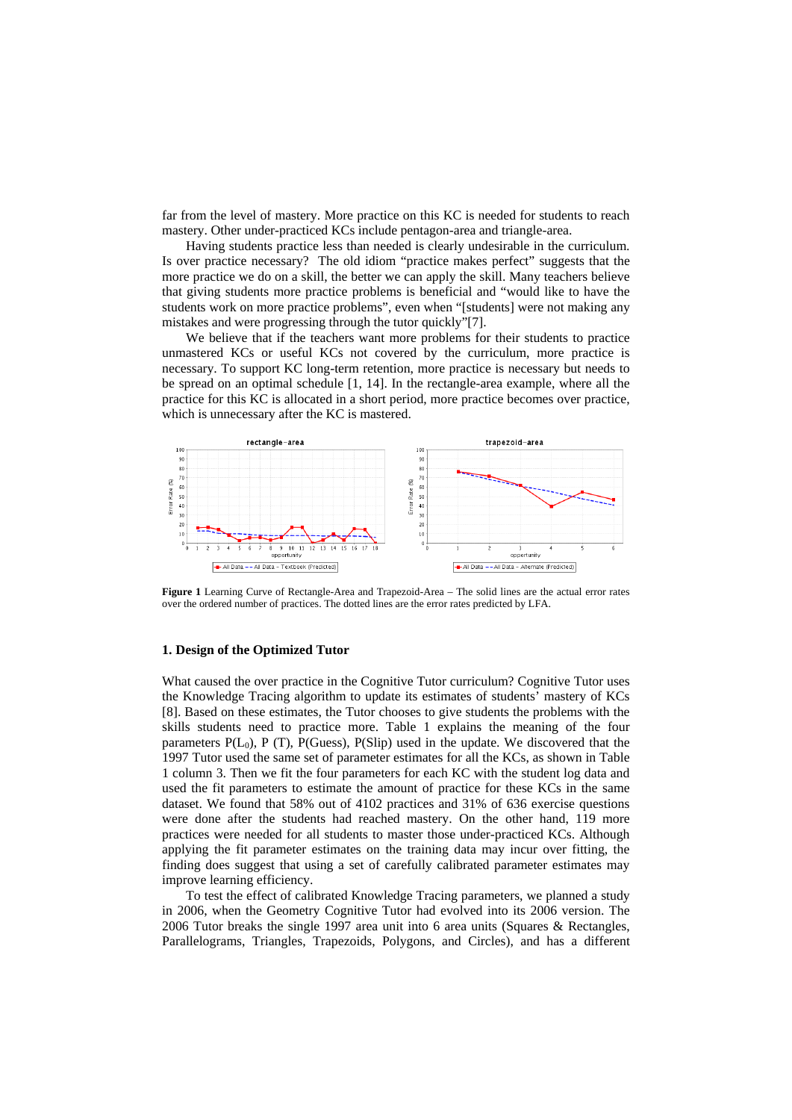far from the level of mastery. More practice on this KC is needed for students to reach mastery. Other under-practiced KCs include pentagon-area and triangle-area.

Having students practice less than needed is clearly undesirable in the curriculum. Is over practice necessary? The old idiom "practice makes perfect" suggests that the more practice we do on a skill, the better we can apply the skill. Many teachers believe that giving students more practice problems is beneficial and "would like to have the students work on more practice problems", even when "[students] were not making any mistakes and were progressing through the tutor quickly"[7].

We believe that if the teachers want more problems for their students to practice unmastered KCs or useful KCs not covered by the curriculum, more practice is necessary. To support KC long-term retention, more practice is necessary but needs to be spread on an optimal schedule [1, 14]. In the rectangle-area example, where all the practice for this KC is allocated in a short period, more practice becomes over practice, which is unnecessary after the KC is mastered.



<span id="page-2-0"></span>**Figure 1** Learning Curve of Rectangle-Area and Trapezoid-Area – The solid lines are the actual error rates over the ordered number of practices. The dotted lines are the error rates predicted by LFA.

# **1. Design of the Optimized Tutor**

What caused the over practice in the Cognitive Tutor curriculum? Cognitive Tutor uses the Knowledge Tracing algorithm to update its estimates of students' mastery of KCs [8]. Based on these estimates, the Tutor chooses to give students the problems with the skills students need to practice more. [Table 1](#page-3-0) explains the meaning of the four parameters  $P(L_0)$ , P (T), P(Guess), P(Slip) used in the update. We discovered that the 1997 Tutor used the same set of parameter estimates for all the KCs, as shown in [Table](#page-3-0)  [1](#page-3-0) column 3. Then we fit the four parameters for each KC with the student log data and used the fit parameters to estimate the amount of practice for these KCs in the same dataset. We found that 58% out of 4102 practices and 31% of 636 exercise questions were done after the students had reached mastery. On the other hand, 119 more practices were needed for all students to master those under-practiced KCs. Although applying the fit parameter estimates on the training data may incur over fitting, the finding does suggest that using a set of carefully calibrated parameter estimates may improve learning efficiency.

To test the effect of calibrated Knowledge Tracing parameters, we planned a study in 2006, when the Geometry Cognitive Tutor had evolved into its 2006 version. The 2006 Tutor breaks the single 1997 area unit into 6 area units (Squares & Rectangles, Parallelograms, Triangles, Trapezoids, Polygons, and Circles), and has a different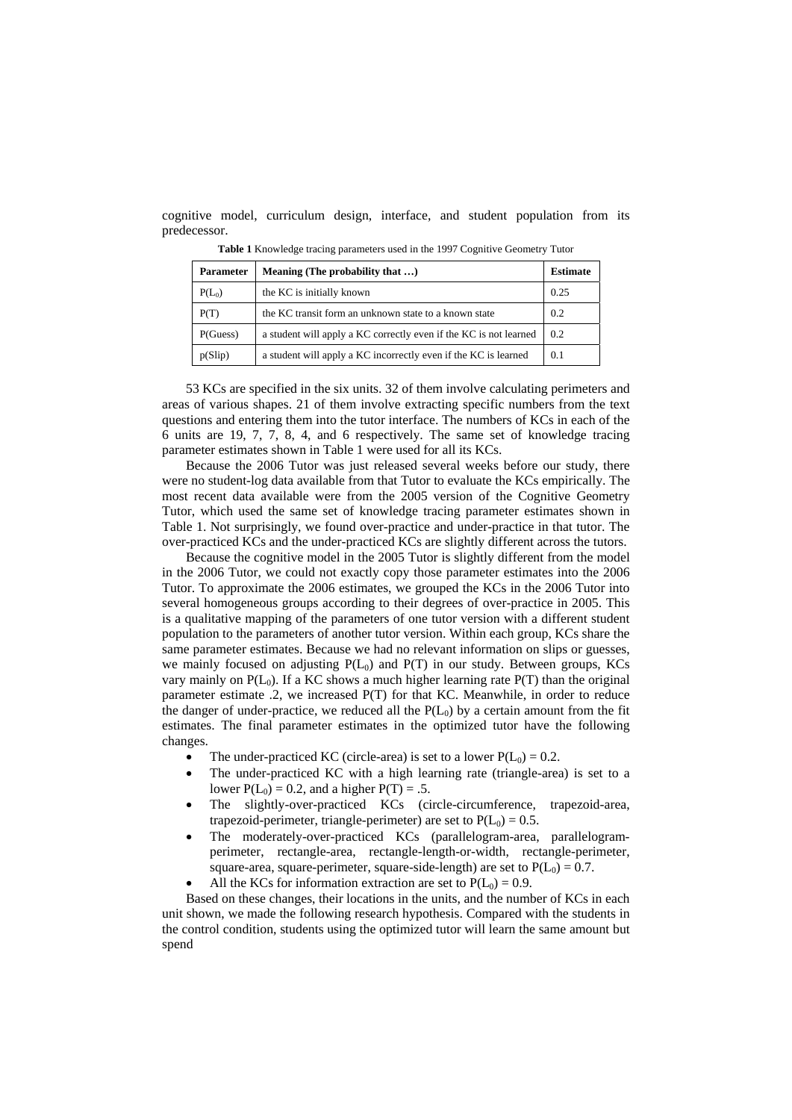<span id="page-3-0"></span>cognitive model, curriculum design, interface, and student population from its predecessor.

| <b>Parameter</b> | Meaning (The probability that )                                   |      |  |
|------------------|-------------------------------------------------------------------|------|--|
| $P(L_0)$         | the KC is initially known                                         | 0.25 |  |
| P(T)             | the KC transit form an unknown state to a known state             | 0.2  |  |
| P(Guess)         | a student will apply a KC correctly even if the KC is not learned | 0.2  |  |
| p(Slip)          | a student will apply a KC incorrectly even if the KC is learned   | 0.1  |  |

**Table 1** Knowledge tracing parameters used in the 1997 Cognitive Geometry Tutor

53 KCs are specified in the six units. 32 of them involve calculating perimeters and areas of various shapes. 21 of them involve extracting specific numbers from the text questions and entering them into the tutor interface. The numbers of KCs in each of the 6 units are 19, 7, 7, 8, 4, and 6 respectively. The same set of knowledge tracing parameter estimates shown in [Table 1](#page-3-0) were used for all its KCs.

Because the 2006 Tutor was just released several weeks before our study, there were no student-log data available from that Tutor to evaluate the KCs empirically. The most recent data available were from the 2005 version of the Cognitive Geometry Tutor, which used the same set of knowledge tracing parameter estimates shown in [Table 1.](#page-3-0) Not surprisingly, we found over-practice and under-practice in that tutor. The over-practiced KCs and the under-practiced KCs are slightly different across the tutors.

Because the cognitive model in the 2005 Tutor is slightly different from the model in the 2006 Tutor, we could not exactly copy those parameter estimates into the 2006 Tutor. To approximate the 2006 estimates, we grouped the KCs in the 2006 Tutor into several homogeneous groups according to their degrees of over-practice in 2005. This is a qualitative mapping of the parameters of one tutor version with a different student population to the parameters of another tutor version. Within each group, KCs share the same parameter estimates. Because we had no relevant information on slips or guesses, we mainly focused on adjusting  $P(L_0)$  and  $P(T)$  in our study. Between groups, KCs vary mainly on  $P(L_0)$ . If a KC shows a much higher learning rate  $P(T)$  than the original parameter estimate .2, we increased P(T) for that KC. Meanwhile, in order to reduce the danger of under-practice, we reduced all the  $P(L_0)$  by a certain amount from the fit estimates. The final parameter estimates in the optimized tutor have the following changes.

- The under-practiced KC (circle-area) is set to a lower  $P(L_0) = 0.2$ .
- The under-practiced KC with a high learning rate (triangle-area) is set to a lower  $P(L_0) = 0.2$ , and a higher  $P(T) = .5$ .
- The slightly-over-practiced KCs (circle-circumference, trapezoid-area, trapezoid-perimeter, triangle-perimeter) are set to  $P(L_0) = 0.5$ .
- The moderately-over-practiced KCs (parallelogram-area, parallelogramperimeter, rectangle-area, rectangle-length-or-width, rectangle-perimeter, square-area, square-perimeter, square-side-length) are set to  $P(L_0) = 0.7$ .
- All the KCs for information extraction are set to  $P(L_0) = 0.9$ .

Based on these changes, their locations in the units, and the number of KCs in each unit shown, we made the following research hypothesis. Compared with the students in the control condition, students using the optimized tutor will learn the same amount but spend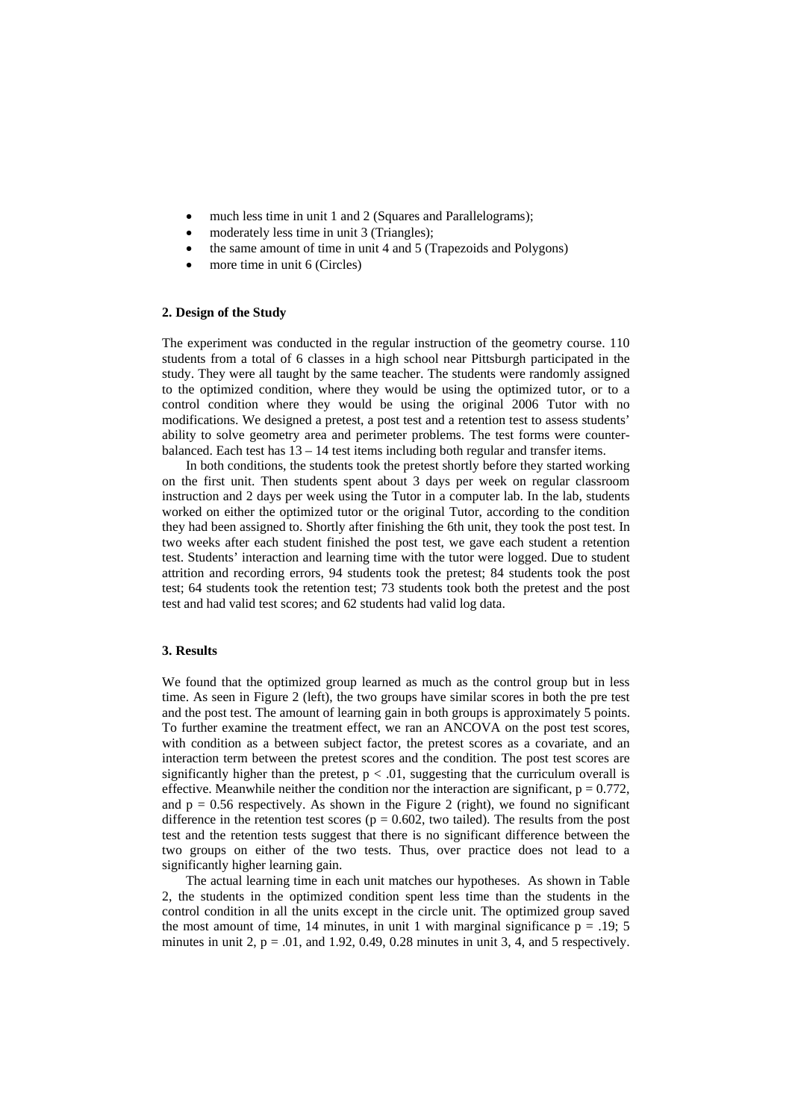- much less time in unit 1 and 2 (Squares and Parallelograms);
- moderately less time in unit 3 (Triangles);
- the same amount of time in unit 4 and 5 (Trapezoids and Polygons)
- more time in unit 6 (Circles)

## **2. Design of the Study**

The experiment was conducted in the regular instruction of the geometry course. 110 students from a total of 6 classes in a high school near Pittsburgh participated in the study. They were all taught by the same teacher. The students were randomly assigned to the optimized condition, where they would be using the optimized tutor, or to a control condition where they would be using the original 2006 Tutor with no modifications. We designed a pretest, a post test and a retention test to assess students' ability to solve geometry area and perimeter problems. The test forms were counterbalanced. Each test has 13 – 14 test items including both regular and transfer items.

In both conditions, the students took the pretest shortly before they started working on the first unit. Then students spent about 3 days per week on regular classroom instruction and 2 days per week using the Tutor in a computer lab. In the lab, students worked on either the optimized tutor or the original Tutor, according to the condition they had been assigned to. Shortly after finishing the 6th unit, they took the post test. In two weeks after each student finished the post test, we gave each student a retention test. Students' interaction and learning time with the tutor were logged. Due to student attrition and recording errors, 94 students took the pretest; 84 students took the post test; 64 students took the retention test; 73 students took both the pretest and the post test and had valid test scores; and 62 students had valid log data.

# **3. Results**

We found that the optimized group learned as much as the control group but in less time. As seen in [Figure 2](#page-5-0) (left), the two groups have similar scores in both the pre test and the post test. The amount of learning gain in both groups is approximately 5 points. To further examine the treatment effect, we ran an ANCOVA on the post test scores, with condition as a between subject factor, the pretest scores as a covariate, and an interaction term between the pretest scores and the condition. The post test scores are significantly higher than the pretest,  $p < .01$ , suggesting that the curriculum overall is effective. Meanwhile neither the condition nor the interaction are significant,  $p = 0.772$ , and  $p = 0.56$  respectively. As shown in the [Figure 2](#page-5-0) (right), we found no significant difference in the retention test scores ( $p = 0.602$ , two tailed). The results from the post test and the retention tests suggest that there is no significant difference between the two groups on either of the two tests. Thus, over practice does not lead to a significantly higher learning gain.

The actual learning time in each unit matches our hypotheses. As shown in [Table](#page-5-1)  [2,](#page-5-1) the students in the optimized condition spent less time than the students in the control condition in all the units except in the circle unit. The optimized group saved the most amount of time, 14 minutes, in unit 1 with marginal significance  $p = .19$ ; 5 minutes in unit 2,  $p = .01$ , and 1.92, 0.49, 0.28 minutes in unit 3, 4, and 5 respectively.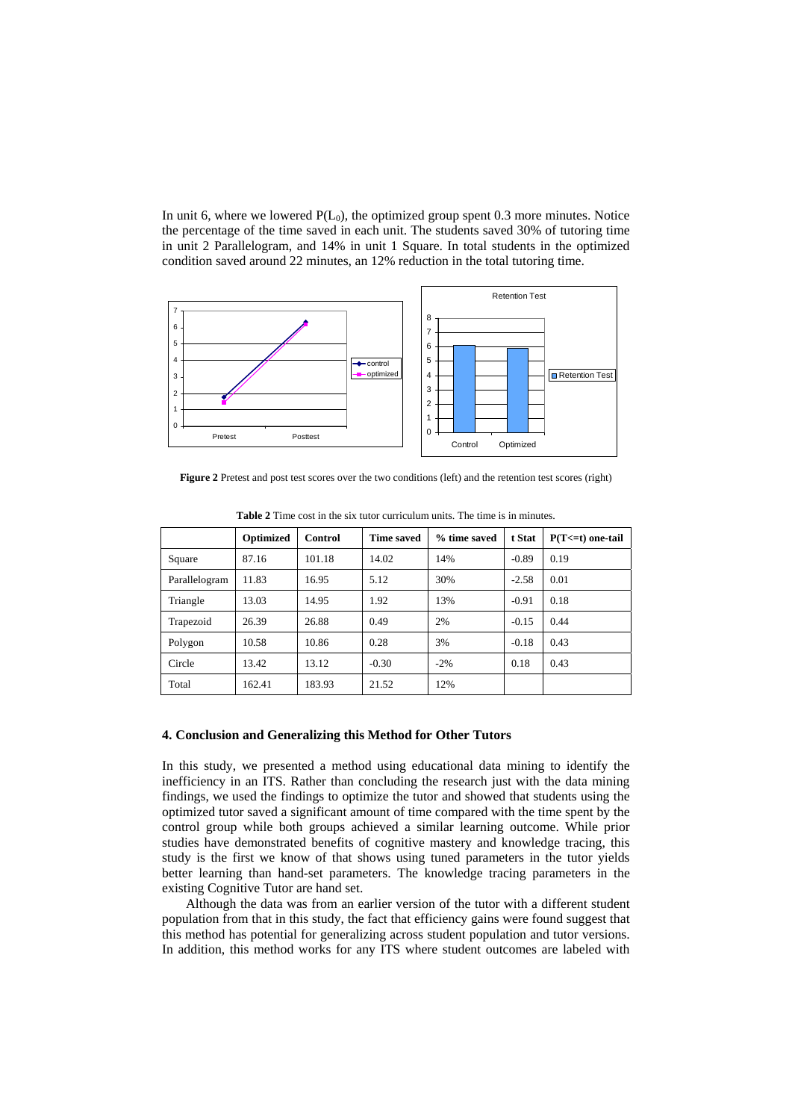In unit 6, where we lowered  $P(L_0)$ , the optimized group spent 0.3 more minutes. Notice the percentage of the time saved in each unit. The students saved 30% of tutoring time in unit 2 Parallelogram, and 14% in unit 1 Square. In total students in the optimized condition saved around 22 minutes, an 12% reduction in the total tutoring time.



**Figure 2** Pretest and post test scores over the two conditions (left) and the retention test scores (right)

<span id="page-5-1"></span><span id="page-5-0"></span>

|               | Optimized | Control | Time saved | % time saved | t Stat  | $P(T \le t)$ one-tail |
|---------------|-----------|---------|------------|--------------|---------|-----------------------|
| Square        | 87.16     | 101.18  | 14.02      | 14%          | $-0.89$ | 0.19                  |
| Parallelogram | 11.83     | 16.95   | 5.12       | 30%          | $-2.58$ | 0.01                  |
| Triangle      | 13.03     | 14.95   | 1.92       | 13%          | $-0.91$ | 0.18                  |
| Trapezoid     | 26.39     | 26.88   | 0.49       | 2%           | $-0.15$ | 0.44                  |
| Polygon       | 10.58     | 10.86   | 0.28       | 3%           | $-0.18$ | 0.43                  |
| Circle        | 13.42     | 13.12   | $-0.30$    | $-2\%$       | 0.18    | 0.43                  |
| Total         | 162.41    | 183.93  | 21.52      | 12%          |         |                       |

**Table 2** Time cost in the six tutor curriculum units. The time is in minutes.

## **4. Conclusion and Generalizing this Method for Other Tutors**

In this study, we presented a method using educational data mining to identify the inefficiency in an ITS. Rather than concluding the research just with the data mining findings, we used the findings to optimize the tutor and showed that students using the optimized tutor saved a significant amount of time compared with the time spent by the control group while both groups achieved a similar learning outcome. While prior studies have demonstrated benefits of cognitive mastery and knowledge tracing, this study is the first we know of that shows using tuned parameters in the tutor yields better learning than hand-set parameters. The knowledge tracing parameters in the existing Cognitive Tutor are hand set.

Although the data was from an earlier version of the tutor with a different student population from that in this study, the fact that efficiency gains were found suggest that this method has potential for generalizing across student population and tutor versions. In addition, this method works for any ITS where student outcomes are labeled with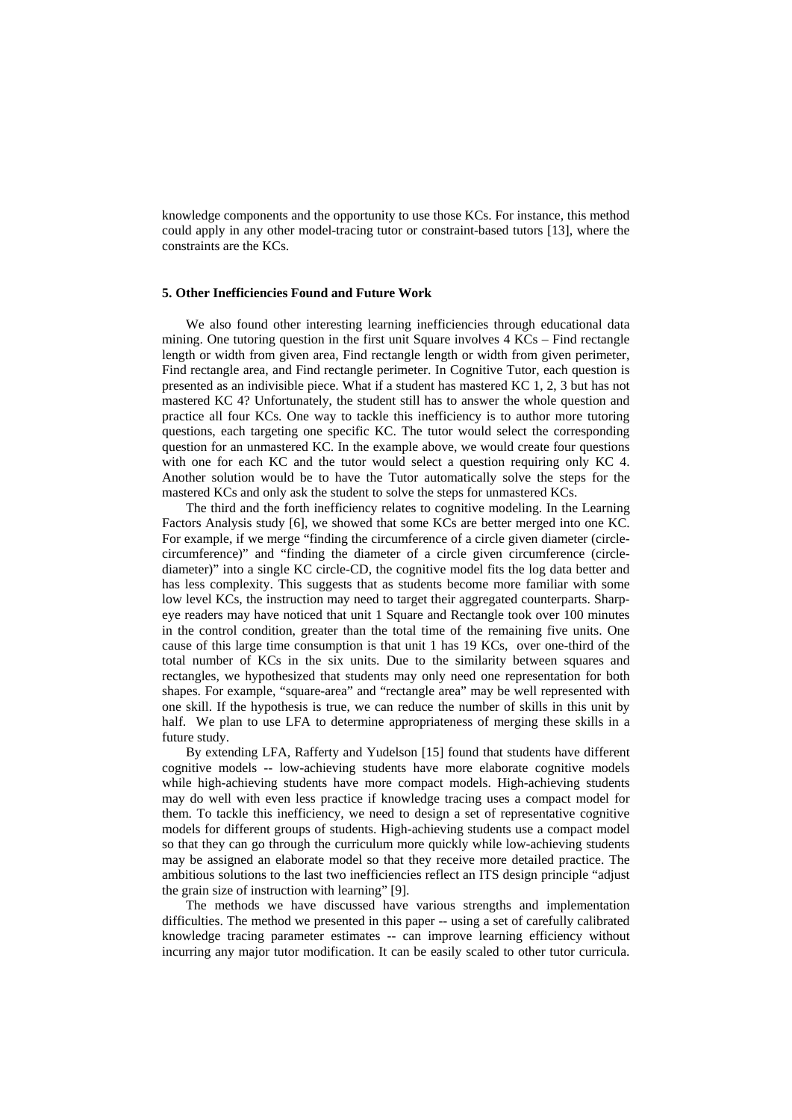knowledge components and the opportunity to use those KCs. For instance, this method could apply in any other model-tracing tutor or constraint-based tutors [13], where the constraints are the KCs.

### **5. Other Inefficiencies Found and Future Work**

We also found other interesting learning inefficiencies through educational data mining. One tutoring question in the first unit Square involves 4 KCs – Find rectangle length or width from given area, Find rectangle length or width from given perimeter, Find rectangle area, and Find rectangle perimeter. In Cognitive Tutor, each question is presented as an indivisible piece. What if a student has mastered KC 1, 2, 3 but has not mastered KC 4? Unfortunately, the student still has to answer the whole question and practice all four KCs. One way to tackle this inefficiency is to author more tutoring questions, each targeting one specific KC. The tutor would select the corresponding question for an unmastered KC. In the example above, we would create four questions with one for each KC and the tutor would select a question requiring only KC 4. Another solution would be to have the Tutor automatically solve the steps for the mastered KCs and only ask the student to solve the steps for unmastered KCs.

The third and the forth inefficiency relates to cognitive modeling. In the Learning Factors Analysis study [6], we showed that some KCs are better merged into one KC. For example, if we merge "finding the circumference of a circle given diameter (circlecircumference)" and "finding the diameter of a circle given circumference (circlediameter)" into a single KC circle-CD, the cognitive model fits the log data better and has less complexity. This suggests that as students become more familiar with some low level KCs, the instruction may need to target their aggregated counterparts. Sharpeye readers may have noticed that unit 1 Square and Rectangle took over 100 minutes in the control condition, greater than the total time of the remaining five units. One cause of this large time consumption is that unit 1 has 19 KCs, over one-third of the total number of KCs in the six units. Due to the similarity between squares and rectangles, we hypothesized that students may only need one representation for both shapes. For example, "square-area" and "rectangle area" may be well represented with one skill. If the hypothesis is true, we can reduce the number of skills in this unit by half. We plan to use LFA to determine appropriateness of merging these skills in a future study.

By extending LFA, Rafferty and Yudelson [15] found that students have different cognitive models -- low-achieving students have more elaborate cognitive models while high-achieving students have more compact models. High-achieving students may do well with even less practice if knowledge tracing uses a compact model for them. To tackle this inefficiency, we need to design a set of representative cognitive models for different groups of students. High-achieving students use a compact model so that they can go through the curriculum more quickly while low-achieving students may be assigned an elaborate model so that they receive more detailed practice. The ambitious solutions to the last two inefficiencies reflect an ITS design principle "adjust the grain size of instruction with learning" [9].

The methods we have discussed have various strengths and implementation difficulties. The method we presented in this paper -- using a set of carefully calibrated knowledge tracing parameter estimates -- can improve learning efficiency without incurring any major tutor modification. It can be easily scaled to other tutor curricula.